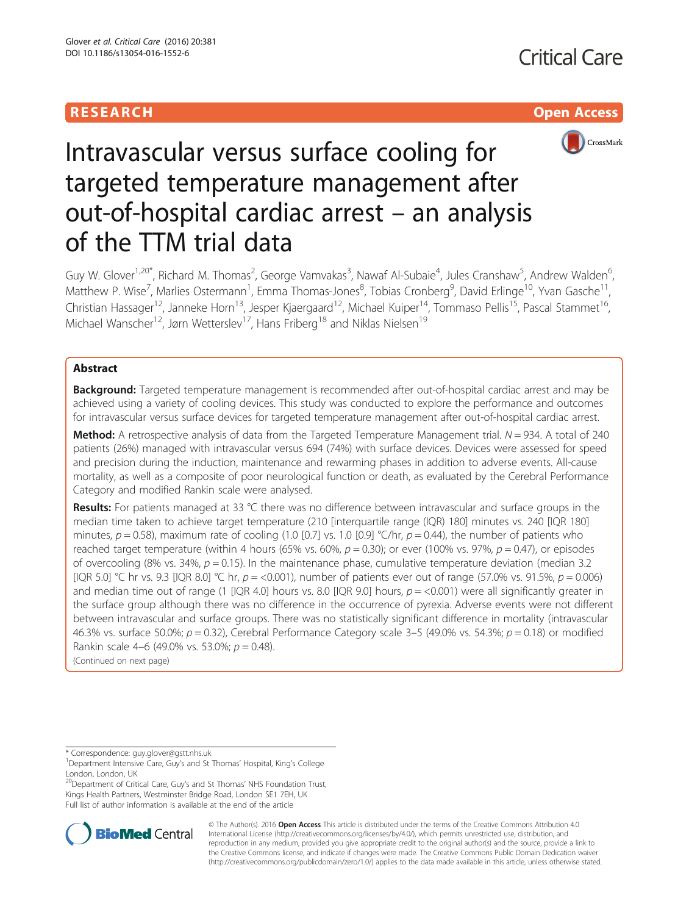# RESEARCH **RESEARCH CHOOSE ACCESS**



# Intravascular versus surface cooling for targeted temperature management after out-of-hospital cardiac arrest – an analysis of the TTM trial data

Guy W. Glover<sup>1,20\*</sup>, Richard M. Thomas<sup>2</sup>, George Vamvakas<sup>3</sup>, Nawaf Al-Subaie<sup>4</sup>, Jules Cranshaw<sup>5</sup>, Andrew Walden<sup>6</sup> י<br>, Matthew P. Wise<sup>7</sup>, Marlies Ostermann<sup>1</sup>, Emma Thomas-Jones<sup>8</sup>, Tobias Cronberg<sup>9</sup>, David Erlinge<sup>10</sup>, Yvan Gasche<sup>11</sup>, Christian Hassager<sup>12</sup>, Janneke Horn<sup>13</sup>, Jesper Kjaergaard<sup>12</sup>, Michael Kuiper<sup>14</sup>, Tommaso Pellis<sup>15</sup>, Pascal Stammet<sup>16</sup>, Michael Wanscher<sup>12</sup>, Jørn Wetterslev<sup>17</sup>, Hans Friberg<sup>18</sup> and Niklas Nielsen<sup>19</sup>

## Abstract

Background: Targeted temperature management is recommended after out-of-hospital cardiac arrest and may be achieved using a variety of cooling devices. This study was conducted to explore the performance and outcomes for intravascular versus surface devices for targeted temperature management after out-of-hospital cardiac arrest.

Method: A retrospective analysis of data from the Targeted Temperature Management trial.  $N = 934$ . A total of 240 patients (26%) managed with intravascular versus 694 (74%) with surface devices. Devices were assessed for speed and precision during the induction, maintenance and rewarming phases in addition to adverse events. All-cause mortality, as well as a composite of poor neurological function or death, as evaluated by the Cerebral Performance Category and modified Rankin scale were analysed.

**Results:** For patients managed at 33 °C there was no difference between intravascular and surface groups in the median time taken to achieve target temperature (210 [interquartile range (IQR) 180] minutes vs. 240 [IQR 180] minutes,  $p = 0.58$ ), maximum rate of cooling (1.0 [0.7] vs. 1.0 [0.9] °C/hr,  $p = 0.44$ ), the number of patients who reached target temperature (within 4 hours (65% vs. 60%,  $p = 0.30$ ); or ever (100% vs. 97%,  $p = 0.47$ ), or episodes of overcooling (8% vs. 34%,  $p = 0.15$ ). In the maintenance phase, cumulative temperature deviation (median 3.2 [IQR 5.0] °C hr vs. 9.3 [IQR 8.0] °C hr,  $p = 0.001$ , number of patients ever out of range (57.0% vs. 91.5%,  $p = 0.006$ ) and median time out of range (1 [IQR 4.0] hours vs. 8.0 [IQR 9.0] hours,  $p = <0.001$ ) were all significantly greater in the surface group although there was no difference in the occurrence of pyrexia. Adverse events were not different between intravascular and surface groups. There was no statistically significant difference in mortality (intravascular 46.3% vs. surface 50.0%;  $p = 0.32$ ), Cerebral Performance Category scale 3–5 (49.0% vs. 54.3%;  $p = 0.18$ ) or modified Rankin scale 4–6 (49.0% vs. 53.0%;  $p = 0.48$ ).

(Continued on next page)

<sup>20</sup>Department of Critical Care, Guy's and St Thomas' NHS Foundation Trust, Kings Health Partners, Westminster Bridge Road, London SE1 7EH, UK Full list of author information is available at the end of the article



© The Author(s). 2016 Open Access This article is distributed under the terms of the Creative Commons Attribution 4.0 International License [\(http://creativecommons.org/licenses/by/4.0/](http://creativecommons.org/licenses/by/4.0/)), which permits unrestricted use, distribution, and reproduction in any medium, provided you give appropriate credit to the original author(s) and the source, provide a link to the Creative Commons license, and indicate if changes were made. The Creative Commons Public Domain Dedication waiver [\(http://creativecommons.org/publicdomain/zero/1.0/](http://creativecommons.org/publicdomain/zero/1.0/)) applies to the data made available in this article, unless otherwise stated.

<sup>\*</sup> Correspondence: [guy.glover@gstt.nhs.uk](mailto:guy.glover@gstt.nhs.uk) <sup>1</sup>

<sup>&</sup>lt;sup>1</sup>Department Intensive Care, Guy's and St Thomas' Hospital, King's College London, London, UK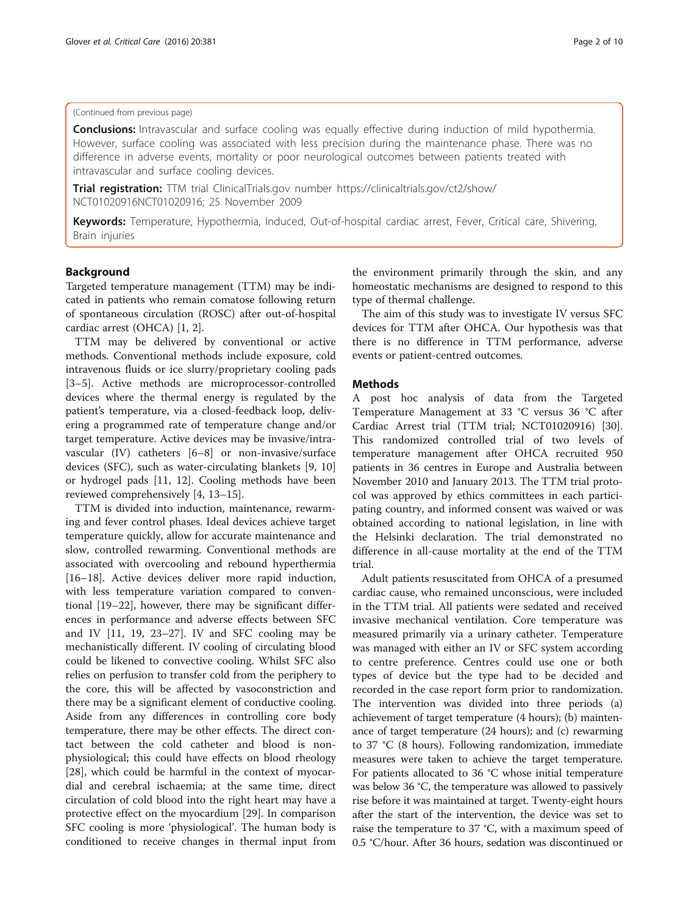#### (Continued from previous page)

**Conclusions:** Intravascular and surface cooling was equally effective during induction of mild hypothermia. However, surface cooling was associated with less precision during the maintenance phase. There was no difference in adverse events, mortality or poor neurological outcomes between patients treated with intravascular and surface cooling devices.

Trial registration: TTM trial ClinicalTrials.gov number [https://clinicaltrials.gov/ct2/show/](https://clinicaltrials.gov/ct2/show/NCT01020916) [NCT01020916](https://clinicaltrials.gov/ct2/show/NCT01020916)NCT01020916; 25 November 2009

Keywords: Temperature, Hypothermia, Induced, Out-of-hospital cardiac arrest, Fever, Critical care, Shivering, Brain injuries

### Background

Targeted temperature management (TTM) may be indicated in patients who remain comatose following return of spontaneous circulation (ROSC) after out-of-hospital cardiac arrest (OHCA) [\[1](#page-8-0), [2](#page-8-0)].

TTM may be delivered by conventional or active methods. Conventional methods include exposure, cold intravenous fluids or ice slurry/proprietary cooling pads [[3](#page-8-0)–[5\]](#page-8-0). Active methods are microprocessor-controlled devices where the thermal energy is regulated by the patient's temperature, via a closed-feedback loop, delivering a programmed rate of temperature change and/or target temperature. Active devices may be invasive/intravascular (IV) catheters [[6](#page-8-0)–[8](#page-8-0)] or non-invasive/surface devices (SFC), such as water-circulating blankets [[9, 10](#page-8-0)] or hydrogel pads [[11, 12](#page-8-0)]. Cooling methods have been reviewed comprehensively [\[4](#page-8-0), [13](#page-8-0)–[15\]](#page-8-0).

TTM is divided into induction, maintenance, rewarming and fever control phases. Ideal devices achieve target temperature quickly, allow for accurate maintenance and slow, controlled rewarming. Conventional methods are associated with overcooling and rebound hyperthermia [[16](#page-9-0)–[18](#page-9-0)]. Active devices deliver more rapid induction, with less temperature variation compared to conventional [[19](#page-9-0)–[22](#page-9-0)], however, there may be significant differences in performance and adverse effects between SFC and IV [[11](#page-8-0), [19, 23](#page-9-0)–[27\]](#page-9-0). IV and SFC cooling may be mechanistically different. IV cooling of circulating blood could be likened to convective cooling. Whilst SFC also relies on perfusion to transfer cold from the periphery to the core, this will be affected by vasoconstriction and there may be a significant element of conductive cooling. Aside from any differences in controlling core body temperature, there may be other effects. The direct contact between the cold catheter and blood is nonphysiological; this could have effects on blood rheology [[28\]](#page-9-0), which could be harmful in the context of myocardial and cerebral ischaemia; at the same time, direct circulation of cold blood into the right heart may have a protective effect on the myocardium [[29\]](#page-9-0). In comparison SFC cooling is more 'physiological'. The human body is conditioned to receive changes in thermal input from the environment primarily through the skin, and any homeostatic mechanisms are designed to respond to this type of thermal challenge.

The aim of this study was to investigate IV versus SFC devices for TTM after OHCA. Our hypothesis was that there is no difference in TTM performance, adverse events or patient-centred outcomes.

#### Methods

A post hoc analysis of data from the Targeted Temperature Management at 33 °C versus 36 °C after Cardiac Arrest trial (TTM trial; NCT01020916) [\[30](#page-9-0)]. This randomized controlled trial of two levels of temperature management after OHCA recruited 950 patients in 36 centres in Europe and Australia between November 2010 and January 2013. The TTM trial protocol was approved by ethics committees in each participating country, and informed consent was waived or was obtained according to national legislation, in line with the Helsinki declaration. The trial demonstrated no difference in all-cause mortality at the end of the TTM trial.

Adult patients resuscitated from OHCA of a presumed cardiac cause, who remained unconscious, were included in the TTM trial. All patients were sedated and received invasive mechanical ventilation. Core temperature was measured primarily via a urinary catheter. Temperature was managed with either an IV or SFC system according to centre preference. Centres could use one or both types of device but the type had to be decided and recorded in the case report form prior to randomization. The intervention was divided into three periods (a) achievement of target temperature (4 hours); (b) maintenance of target temperature (24 hours); and (c) rewarming to 37 °C (8 hours). Following randomization, immediate measures were taken to achieve the target temperature. For patients allocated to 36 °C whose initial temperature was below 36 °C, the temperature was allowed to passively rise before it was maintained at target. Twenty-eight hours after the start of the intervention, the device was set to raise the temperature to 37 °C, with a maximum speed of 0.5 °C/hour. After 36 hours, sedation was discontinued or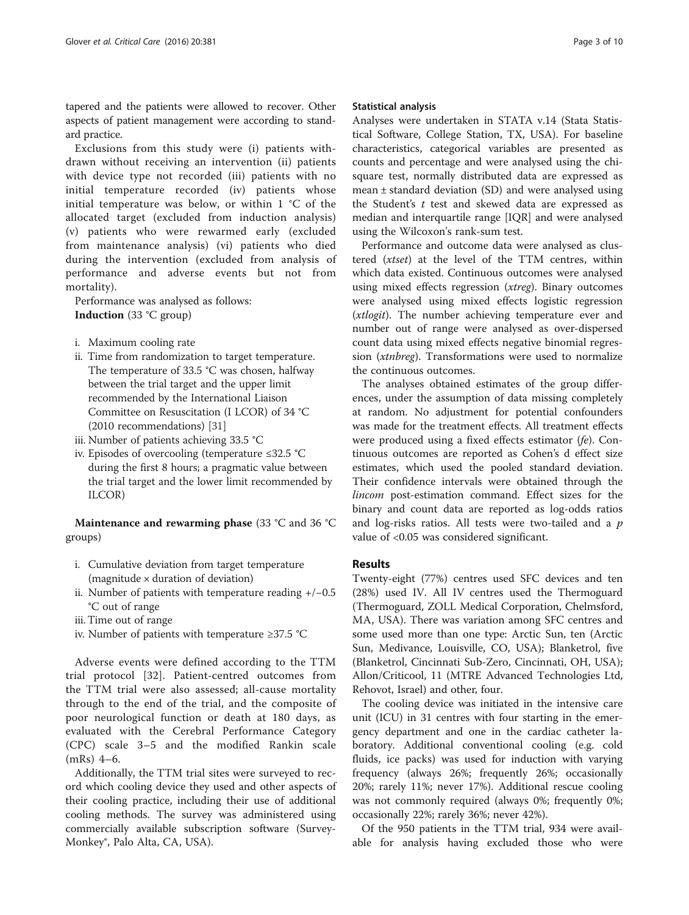tapered and the patients were allowed to recover. Other aspects of patient management were according to standard practice.

Exclusions from this study were (i) patients withdrawn without receiving an intervention (ii) patients with device type not recorded (iii) patients with no initial temperature recorded (iv) patients whose initial temperature was below, or within 1 °C of the allocated target (excluded from induction analysis) (v) patients who were rewarmed early (excluded from maintenance analysis) (vi) patients who died during the intervention (excluded from analysis of performance and adverse events but not from mortality).

Performance was analysed as follows: Induction (33 °C group)

- i. Maximum cooling rate
- ii. Time from randomization to target temperature. The temperature of 33.5 °C was chosen, halfway between the trial target and the upper limit recommended by the International Liaison Committee on Resuscitation (I LCOR) of 34 °C (2010 recommendations) [\[31\]](#page-9-0)
- iii. Number of patients achieving 33.5 °C
- iv. Episodes of overcooling (temperature ≤32.5 °C during the first 8 hours; a pragmatic value between the trial target and the lower limit recommended by ILCOR)

Maintenance and rewarming phase (33 °C and 36 °C groups)

- i. Cumulative deviation from target temperature (magnitude × duration of deviation)
- ii. Number of patients with temperature reading +/−0.5 °C out of range
- iii. Time out of range
- iv. Number of patients with temperature ≥37.5 °C

Adverse events were defined according to the TTM trial protocol [[32](#page-9-0)]. Patient-centred outcomes from the TTM trial were also assessed; all-cause mortality through to the end of the trial, and the composite of poor neurological function or death at 180 days, as evaluated with the Cerebral Performance Category (CPC) scale 3–5 and the modified Rankin scale (mRs) 4–6.

Additionally, the TTM trial sites were surveyed to record which cooling device they used and other aspects of their cooling practice, including their use of additional cooling methods. The survey was administered using commercially available subscription software (Survey-Monkey®, Palo Alta, CA, USA).

#### Statistical analysis

Analyses were undertaken in STATA v.14 (Stata Statistical Software, College Station, TX, USA). For baseline characteristics, categorical variables are presented as counts and percentage and were analysed using the chisquare test, normally distributed data are expressed as mean ± standard deviation (SD) and were analysed using the Student's  $t$  test and skewed data are expressed as median and interquartile range [IQR] and were analysed using the Wilcoxon's rank-sum test.

Performance and outcome data were analysed as clustered (xtset) at the level of the TTM centres, within which data existed. Continuous outcomes were analysed using mixed effects regression (xtreg). Binary outcomes were analysed using mixed effects logistic regression (xtlogit). The number achieving temperature ever and number out of range were analysed as over-dispersed count data using mixed effects negative binomial regression (xtnbreg). Transformations were used to normalize the continuous outcomes.

The analyses obtained estimates of the group differences, under the assumption of data missing completely at random. No adjustment for potential confounders was made for the treatment effects. All treatment effects were produced using a fixed effects estimator (fe). Continuous outcomes are reported as Cohen's d effect size estimates, which used the pooled standard deviation. Their confidence intervals were obtained through the lincom post-estimation command. Effect sizes for the binary and count data are reported as log-odds ratios and log-risks ratios. All tests were two-tailed and a p value of <0.05 was considered significant.

### Results

Twenty-eight (77%) centres used SFC devices and ten (28%) used IV. All IV centres used the Thermoguard (Thermoguard, ZOLL Medical Corporation, Chelmsford, MA, USA). There was variation among SFC centres and some used more than one type: Arctic Sun, ten (Arctic Sun, Medivance, Louisville, CO, USA); Blanketrol, five (Blanketrol, Cincinnati Sub-Zero, Cincinnati, OH, USA); Allon/Criticool, 11 (MTRE Advanced Technologies Ltd, Rehovot, Israel) and other, four.

The cooling device was initiated in the intensive care unit (ICU) in 31 centres with four starting in the emergency department and one in the cardiac catheter laboratory. Additional conventional cooling (e.g. cold fluids, ice packs) was used for induction with varying frequency (always 26%; frequently 26%; occasionally 20%; rarely 11%; never 17%). Additional rescue cooling was not commonly required (always 0%; frequently 0%; occasionally 22%; rarely 36%; never 42%).

Of the 950 patients in the TTM trial, 934 were available for analysis having excluded those who were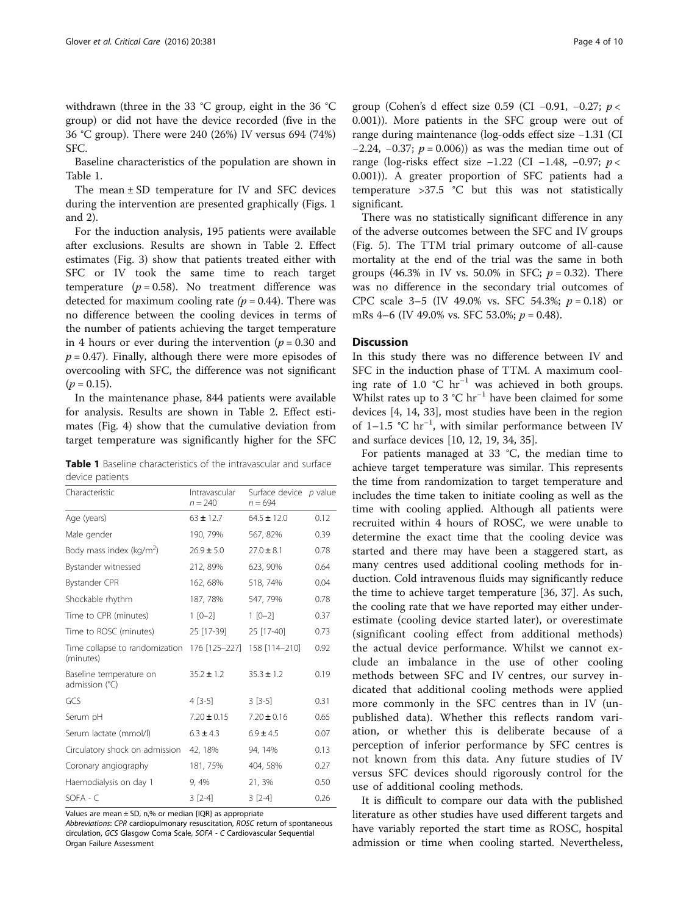withdrawn (three in the 33 °C group, eight in the 36 °C group) or did not have the device recorded (five in the 36 °C group). There were 240 (26%) IV versus 694 (74%) SFC.

Baseline characteristics of the population are shown in Table 1.

The mean ± SD temperature for IV and SFC devices during the intervention are presented graphically (Figs. [1](#page-4-0) and [2\)](#page-4-0).

For the induction analysis, 195 patients were available after exclusions. Results are shown in Table [2.](#page-5-0) Effect estimates (Fig. [3\)](#page-5-0) show that patients treated either with SFC or IV took the same time to reach target temperature ( $p = 0.58$ ). No treatment difference was detected for maximum cooling rate ( $p = 0.44$ ). There was no difference between the cooling devices in terms of the number of patients achieving the target temperature in 4 hours or ever during the intervention ( $p = 0.30$  and  $p = 0.47$ ). Finally, although there were more episodes of overcooling with SFC, the difference was not significant  $(p = 0.15)$ .

In the maintenance phase, 844 patients were available for analysis. Results are shown in Table [2](#page-5-0). Effect estimates (Fig. [4](#page-6-0)) show that the cumulative deviation from target temperature was significantly higher for the SFC

**Table 1** Baseline characteristics of the intravascular and surface device patients

| Characteristic                                            | Intravascular<br>$n = 240$ | Surface device p value<br>$n = 694$ |      |
|-----------------------------------------------------------|----------------------------|-------------------------------------|------|
| Age (years)                                               | $63 \pm 12.7$              | $64.5 \pm 12.0$                     | 0.12 |
| Male gender                                               | 190, 79%                   | 567, 82%                            | 0.39 |
| Body mass index ( $kg/m2$ )                               | $26.9 \pm 5.0$             | $27.0 \pm 8.1$                      | 0.78 |
| Bystander witnessed                                       | 212, 89%                   | 623, 90%                            | 0.64 |
| <b>Bystander CPR</b>                                      | 162, 68%                   | 518, 74%                            | 0.04 |
| Shockable rhythm                                          | 187, 78%                   | 547, 79%                            | 0.78 |
| Time to CPR (minutes)                                     | $1 [0-2]$                  | $1 [0-2]$                           | 0.37 |
| Time to ROSC (minutes)                                    | 25 [17-39]                 | 25 [17-40]                          | 0.73 |
| Time collapse to randomization 176 [125-227]<br>(minutes) |                            | 158 [114-210]                       | 0.92 |
| Baseline temperature on<br>admission (°C)                 | $35.2 \pm 1.2$             | $35.3 \pm 1.2$                      | 0.19 |
| GCS                                                       | $4$ [3-5]                  | $3 [3-5]$                           | 0.31 |
| Serum pH                                                  | $7.20 \pm 0.15$            | $7.20 \pm 0.16$                     | 0.65 |
| Serum lactate (mmol/l)                                    | $6.3 \pm 4.3$              | $6.9 \pm 4.5$                       | 0.07 |
| Circulatory shock on admission                            | 42, 18%                    | 94, 14%                             | 0.13 |
| Coronary angiography                                      | 181, 75%                   | 404, 58%                            | 0.27 |
| Haemodialysis on day 1                                    | 9, 4%                      | 21, 3%                              | 0.50 |
| SOFA - C                                                  | $3 [2-4]$                  | $3 [2-4]$                           | 0.26 |
|                                                           |                            |                                     |      |

Values are mean ± SD, n,% or median [IQR] as appropriate

Abbreviations: CPR cardiopulmonary resuscitation, ROSC return of spontaneous circulation, GCS Glasgow Coma Scale, SOFA - C Cardiovascular Sequential Organ Failure Assessment

group (Cohen's d effect size 0.59 (CI -0.91, -0.27;  $p <$ 0.001)). More patients in the SFC group were out of range during maintenance (log-odds effect size −1.31 (CI −2.24, −0.37;  $p = 0.006$ ) as was the median time out of range (log-risks effect size -1.22 (CI -1.48, -0.97;  $p$  < 0.001)). A greater proportion of SFC patients had a temperature  $>37.5$  °C but this was not statistically significant.

There was no statistically significant difference in any of the adverse outcomes between the SFC and IV groups (Fig. [5](#page-6-0)). The TTM trial primary outcome of all-cause mortality at the end of the trial was the same in both groups (46.3% in IV vs. 50.0% in SFC;  $p = 0.32$ ). There was no difference in the secondary trial outcomes of CPC scale  $3-5$  (IV 49.0% vs. SFC 54.3%;  $p = 0.18$ ) or mRs 4–6 (IV 49.0% vs. SFC 53.0%;  $p = 0.48$ ).

#### **Discussion**

In this study there was no difference between IV and SFC in the induction phase of TTM. A maximum cooling rate of 1.0 °C  $hr^{-1}$  was achieved in both groups. Whilst rates up to 3 °C hr<sup>-1</sup> have been claimed for some devices [[4, 14,](#page-8-0) [33](#page-9-0)], most studies have been in the region of 1-1.5 °C hr<sup>-1</sup>, with similar performance between IV and surface devices [[10, 12,](#page-8-0) [19, 34](#page-9-0), [35](#page-9-0)].

For patients managed at 33 °C, the median time to achieve target temperature was similar. This represents the time from randomization to target temperature and includes the time taken to initiate cooling as well as the time with cooling applied. Although all patients were recruited within 4 hours of ROSC, we were unable to determine the exact time that the cooling device was started and there may have been a staggered start, as many centres used additional cooling methods for induction. Cold intravenous fluids may significantly reduce the time to achieve target temperature [\[36, 37](#page-9-0)]. As such, the cooling rate that we have reported may either underestimate (cooling device started later), or overestimate (significant cooling effect from additional methods) the actual device performance. Whilst we cannot exclude an imbalance in the use of other cooling methods between SFC and IV centres, our survey indicated that additional cooling methods were applied more commonly in the SFC centres than in IV (unpublished data). Whether this reflects random variation, or whether this is deliberate because of a perception of inferior performance by SFC centres is not known from this data. Any future studies of IV versus SFC devices should rigorously control for the use of additional cooling methods.

It is difficult to compare our data with the published literature as other studies have used different targets and have variably reported the start time as ROSC, hospital admission or time when cooling started. Nevertheless,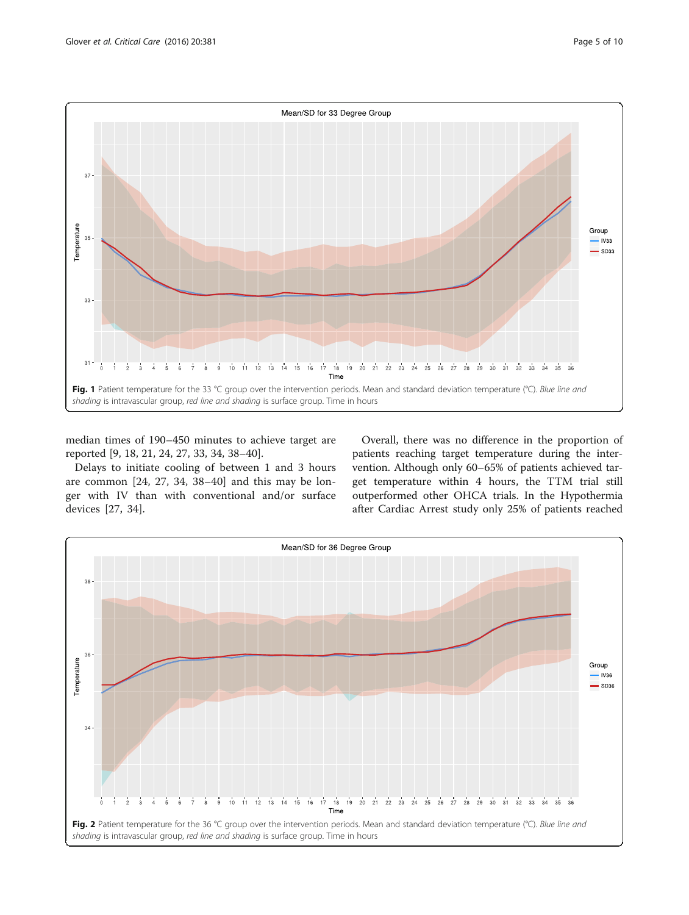<span id="page-4-0"></span>

median times of 190–450 minutes to achieve target are reported [[9,](#page-8-0) [18](#page-9-0), [21](#page-9-0), [24](#page-9-0), [27](#page-9-0), [33](#page-9-0), [34, 38](#page-9-0)–[40\]](#page-9-0).

Delays to initiate cooling of between 1 and 3 hours are common [[24, 27](#page-9-0), [34](#page-9-0), [38](#page-9-0)–[40\]](#page-9-0) and this may be longer with IV than with conventional and/or surface devices [[27, 34\]](#page-9-0).

Overall, there was no difference in the proportion of patients reaching target temperature during the intervention. Although only 60–65% of patients achieved target temperature within 4 hours, the TTM trial still outperformed other OHCA trials. In the Hypothermia after Cardiac Arrest study only 25% of patients reached

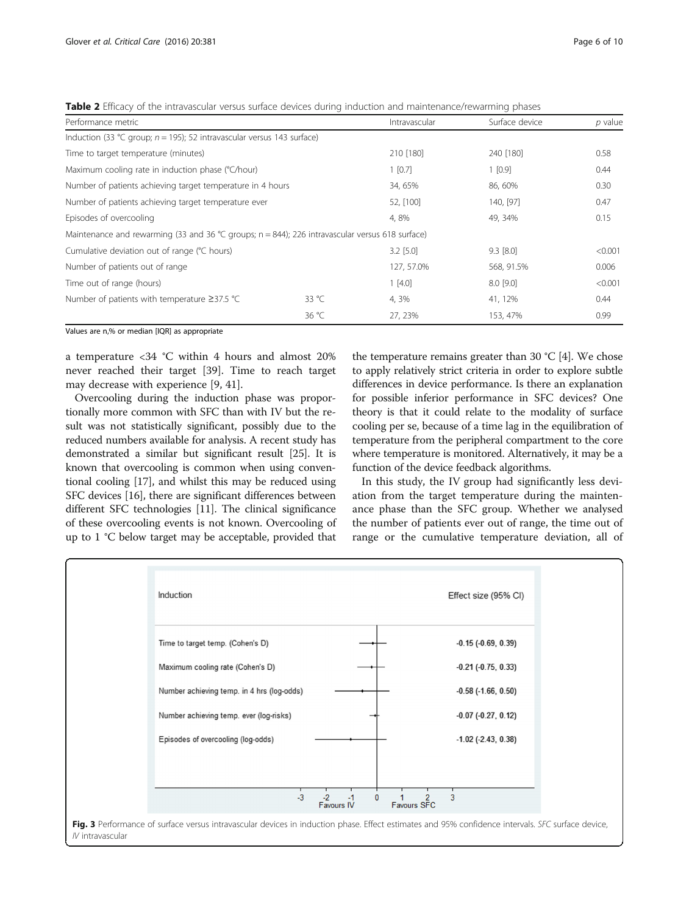<span id="page-5-0"></span>Table 2 Efficacy of the intravascular versus surface devices during induction and maintenance/rewarming phases

| Performance metric                                                                              |           | Intravascular | Surface device | $p$ value |
|-------------------------------------------------------------------------------------------------|-----------|---------------|----------------|-----------|
| Induction (33 °C group; $n = 195$ ); 52 intravascular versus 143 surface)                       |           |               |                |           |
| Time to target temperature (minutes)                                                            |           | 210 [180]     | 240 [180]      | 0.58      |
| Maximum cooling rate in induction phase (°C/hour)                                               |           | 1 [0.7]       | 1 [0.9]        | 0.44      |
| Number of patients achieving target temperature in 4 hours                                      | 34, 65%   | 86, 60%       | 0.30           |           |
| Number of patients achieving target temperature ever                                            | 52, [100] | 140, [97]     | 0.47           |           |
| Episodes of overcooling                                                                         | 4,8%      | 49, 34%       | 0.15           |           |
| Maintenance and rewarming (33 and 36 °C groups; n = 844); 226 intravascular versus 618 surface) |           |               |                |           |
| Cumulative deviation out of range (°C hours)                                                    |           | $3.2$ [5.0]   | $9.3$ $[8.0]$  | < 0.001   |
| Number of patients out of range                                                                 |           | 127, 57.0%    | 568, 91.5%     | 0.006     |
| Time out of range (hours)                                                                       |           | 1 [4.0]       | $8.0$ [9.0]    | < 0.001   |
| Number of patients with temperature $\geq$ 37.5 °C                                              | 33 °C     | 4, 3%         | 41, 12%        | 0.44      |
|                                                                                                 | 36 $°C$   | 27, 23%       | 153, 47%       | 0.99      |

Values are n,% or median [IQR] as appropriate

a temperature <34 °C within 4 hours and almost 20% never reached their target [\[39](#page-9-0)]. Time to reach target may decrease with experience [\[9,](#page-8-0) [41\]](#page-9-0).

Overcooling during the induction phase was proportionally more common with SFC than with IV but the result was not statistically significant, possibly due to the reduced numbers available for analysis. A recent study has demonstrated a similar but significant result [\[25\]](#page-9-0). It is known that overcooling is common when using conventional cooling [[17](#page-9-0)], and whilst this may be reduced using SFC devices [\[16\]](#page-9-0), there are significant differences between different SFC technologies [[11](#page-8-0)]. The clinical significance of these overcooling events is not known. Overcooling of up to 1 °C below target may be acceptable, provided that

the temperature remains greater than 30  $\degree$ C [\[4\]](#page-8-0). We chose to apply relatively strict criteria in order to explore subtle differences in device performance. Is there an explanation for possible inferior performance in SFC devices? One theory is that it could relate to the modality of surface cooling per se, because of a time lag in the equilibration of temperature from the peripheral compartment to the core where temperature is monitored. Alternatively, it may be a function of the device feedback algorithms.

In this study, the IV group had significantly less deviation from the target temperature during the maintenance phase than the SFC group. Whether we analysed the number of patients ever out of range, the time out of range or the cumulative temperature deviation, all of

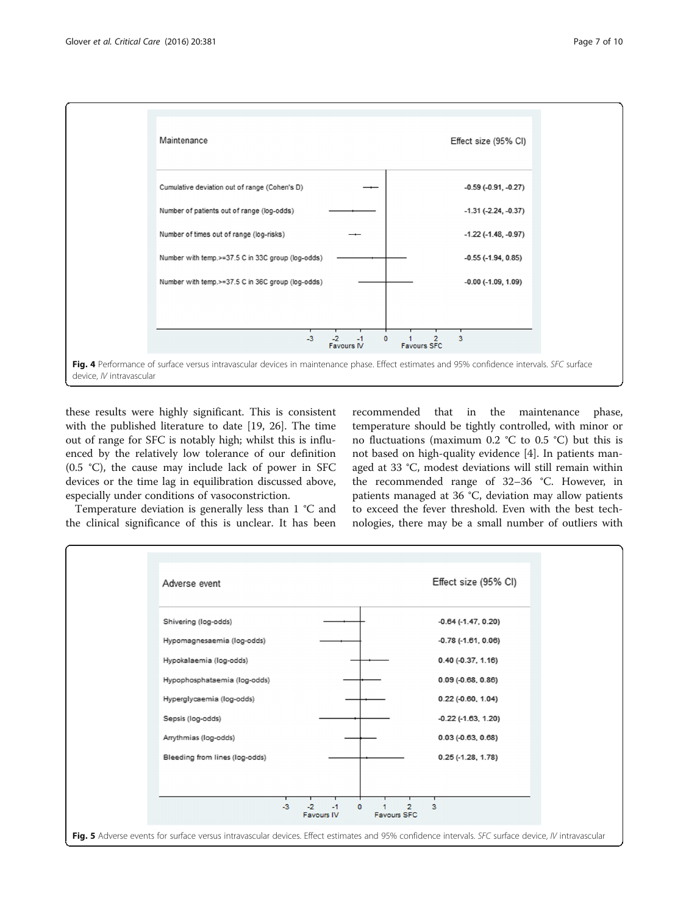<span id="page-6-0"></span>

these results were highly significant. This is consistent with the published literature to date [[19, 26\]](#page-9-0). The time out of range for SFC is notably high; whilst this is influenced by the relatively low tolerance of our definition (0.5 °C), the cause may include lack of power in SFC devices or the time lag in equilibration discussed above, especially under conditions of vasoconstriction.

Temperature deviation is generally less than 1 °C and the clinical significance of this is unclear. It has been

recommended that in the maintenance phase, temperature should be tightly controlled, with minor or no fluctuations (maximum  $0.2$  °C to  $0.5$  °C) but this is not based on high-quality evidence [[4\]](#page-8-0). In patients managed at 33 °C, modest deviations will still remain within the recommended range of 32–36 °C. However, in patients managed at 36 °C, deviation may allow patients to exceed the fever threshold. Even with the best technologies, there may be a small number of outliers with

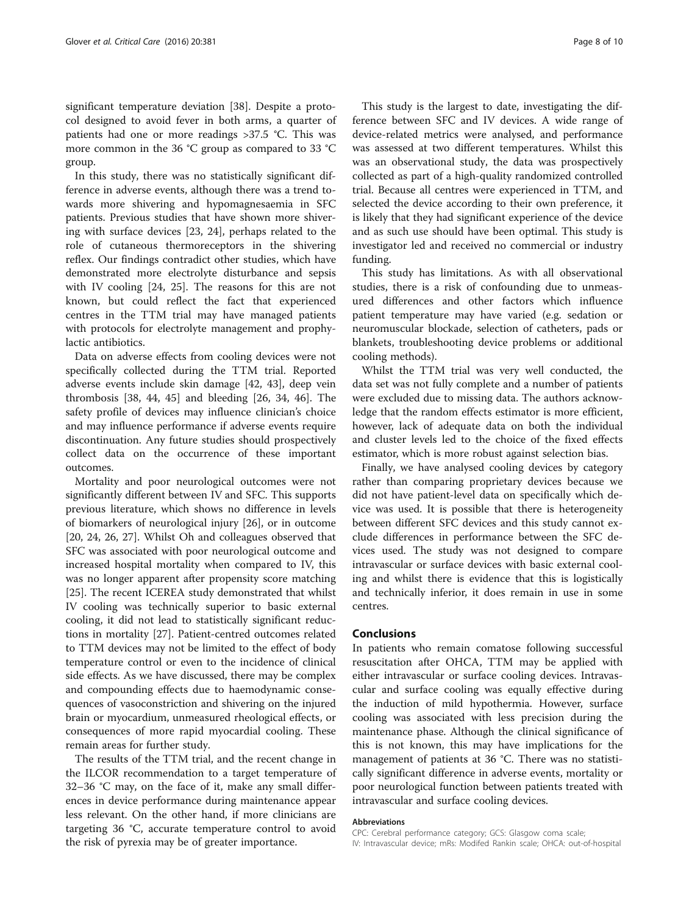significant temperature deviation [[38\]](#page-9-0). Despite a protocol designed to avoid fever in both arms, a quarter of patients had one or more readings >37.5 °C. This was more common in the 36 °C group as compared to 33 °C group.

In this study, there was no statistically significant difference in adverse events, although there was a trend towards more shivering and hypomagnesaemia in SFC patients. Previous studies that have shown more shivering with surface devices [[23](#page-9-0), [24](#page-9-0)], perhaps related to the role of cutaneous thermoreceptors in the shivering reflex. Our findings contradict other studies, which have demonstrated more electrolyte disturbance and sepsis with IV cooling [[24, 25](#page-9-0)]. The reasons for this are not known, but could reflect the fact that experienced centres in the TTM trial may have managed patients with protocols for electrolyte management and prophylactic antibiotics.

Data on adverse effects from cooling devices were not specifically collected during the TTM trial. Reported adverse events include skin damage [[42, 43\]](#page-9-0), deep vein thrombosis [\[38, 44](#page-9-0), [45\]](#page-9-0) and bleeding [[26, 34](#page-9-0), [46\]](#page-9-0). The safety profile of devices may influence clinician's choice and may influence performance if adverse events require discontinuation. Any future studies should prospectively collect data on the occurrence of these important outcomes.

Mortality and poor neurological outcomes were not significantly different between IV and SFC. This supports previous literature, which shows no difference in levels of biomarkers of neurological injury [[26\]](#page-9-0), or in outcome [[20, 24, 26](#page-9-0), [27\]](#page-9-0). Whilst Oh and colleagues observed that SFC was associated with poor neurological outcome and increased hospital mortality when compared to IV, this was no longer apparent after propensity score matching [[25\]](#page-9-0). The recent ICEREA study demonstrated that whilst IV cooling was technically superior to basic external cooling, it did not lead to statistically significant reductions in mortality [\[27](#page-9-0)]. Patient-centred outcomes related to TTM devices may not be limited to the effect of body temperature control or even to the incidence of clinical side effects. As we have discussed, there may be complex and compounding effects due to haemodynamic consequences of vasoconstriction and shivering on the injured brain or myocardium, unmeasured rheological effects, or consequences of more rapid myocardial cooling. These remain areas for further study.

The results of the TTM trial, and the recent change in the ILCOR recommendation to a target temperature of 32–36 °C may, on the face of it, make any small differences in device performance during maintenance appear less relevant. On the other hand, if more clinicians are targeting 36 °C, accurate temperature control to avoid the risk of pyrexia may be of greater importance.

This study is the largest to date, investigating the difference between SFC and IV devices. A wide range of device-related metrics were analysed, and performance was assessed at two different temperatures. Whilst this was an observational study, the data was prospectively collected as part of a high-quality randomized controlled trial. Because all centres were experienced in TTM, and selected the device according to their own preference, it is likely that they had significant experience of the device and as such use should have been optimal. This study is investigator led and received no commercial or industry funding.

This study has limitations. As with all observational studies, there is a risk of confounding due to unmeasured differences and other factors which influence patient temperature may have varied (e.g. sedation or neuromuscular blockade, selection of catheters, pads or blankets, troubleshooting device problems or additional cooling methods).

Whilst the TTM trial was very well conducted, the data set was not fully complete and a number of patients were excluded due to missing data. The authors acknowledge that the random effects estimator is more efficient, however, lack of adequate data on both the individual and cluster levels led to the choice of the fixed effects estimator, which is more robust against selection bias.

Finally, we have analysed cooling devices by category rather than comparing proprietary devices because we did not have patient-level data on specifically which device was used. It is possible that there is heterogeneity between different SFC devices and this study cannot exclude differences in performance between the SFC devices used. The study was not designed to compare intravascular or surface devices with basic external cooling and whilst there is evidence that this is logistically and technically inferior, it does remain in use in some centres.

#### Conclusions

In patients who remain comatose following successful resuscitation after OHCA, TTM may be applied with either intravascular or surface cooling devices. Intravascular and surface cooling was equally effective during the induction of mild hypothermia. However, surface cooling was associated with less precision during the maintenance phase. Although the clinical significance of this is not known, this may have implications for the management of patients at 36 °C. There was no statistically significant difference in adverse events, mortality or poor neurological function between patients treated with intravascular and surface cooling devices.

#### Abbreviations

CPC: Cerebral performance category; GCS: Glasgow coma scale; IV: Intravascular device; mRs: Modifed Rankin scale; OHCA: out-of-hospital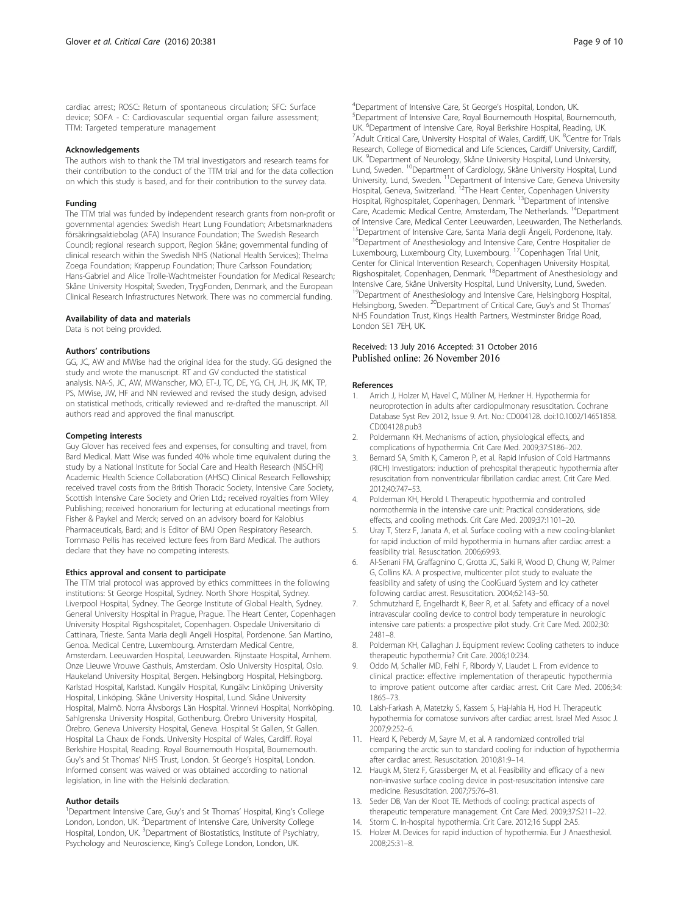<span id="page-8-0"></span>cardiac arrest; ROSC: Return of spontaneous circulation; SFC: Surface device; SOFA - C: Cardiovascular sequential organ failure assessment; TTM: Targeted temperature management

#### Acknowledgements

The authors wish to thank the TM trial investigators and research teams for their contribution to the conduct of the TTM trial and for the data collection on which this study is based, and for their contribution to the survey data.

#### Funding

The TTM trial was funded by independent research grants from non-profit or governmental agencies: Swedish Heart Lung Foundation; Arbetsmarknadens försäkringsaktiebolag (AFA) Insurance Foundation; The Swedish Research Council; regional research support, Region Skåne; governmental funding of clinical research within the Swedish NHS (National Health Services); Thelma Zoega Foundation; Krapperup Foundation; Thure Carlsson Foundation; Hans-Gabriel and Alice Trolle-Wachtmeister Foundation for Medical Research; Skåne University Hospital; Sweden, TrygFonden, Denmark, and the European Clinical Research Infrastructures Network. There was no commercial funding.

#### Availability of data and materials

Data is not being provided.

#### Authors' contributions

GG, JC, AW and MWise had the original idea for the study. GG designed the study and wrote the manuscript. RT and GV conducted the statistical analysis. NA-S, JC, AW, MWanscher, MO, ET-J, TC, DE, YG, CH, JH, JK, MK, TP, PS, MWise, JW, HF and NN reviewed and revised the study design, advised on statistical methods, critically reviewed and re-drafted the manuscript. All authors read and approved the final manuscript.

#### Competing interests

Guy Glover has received fees and expenses, for consulting and travel, from Bard Medical. Matt Wise was funded 40% whole time equivalent during the study by a National Institute for Social Care and Health Research (NISCHR) Academic Health Science Collaboration (AHSC) Clinical Research Fellowship; received travel costs from the British Thoracic Society, Intensive Care Society, Scottish Intensive Care Society and Orien Ltd.; received royalties from Wiley Publishing; received honorarium for lecturing at educational meetings from Fisher & Paykel and Merck; served on an advisory board for Kalobius Pharmaceuticals, Bard; and is Editor of BMJ Open Respiratory Research. Tommaso Pellis has received lecture fees from Bard Medical. The authors declare that they have no competing interests.

#### Ethics approval and consent to participate

The TTM trial protocol was approved by ethics committees in the following institutions: St George Hospital, Sydney. North Shore Hospital, Sydney. Liverpool Hospital, Sydney. The George Institute of Global Health, Sydney. General University Hospital in Prague, Prague. The Heart Center, Copenhagen University Hospital Rigshospitalet, Copenhagen. Ospedale Universitario di Cattinara, Trieste. Santa Maria degli Angeli Hospital, Pordenone. San Martino, Genoa. Medical Centre, Luxembourg. Amsterdam Medical Centre, Amsterdam. Leeuwarden Hospital, Leeuwarden. Rijnstaate Hospital, Arnhem. Onze Lieuwe Vrouwe Gasthuis, Amsterdam. Oslo University Hospital, Oslo. Haukeland University Hospital, Bergen. Helsingborg Hospital, Helsingborg. Karlstad Hospital, Karlstad. Kungälv Hospital, Kungälv: Linköping University Hospital, Linköping. Skåne University Hospital, Lund. Skåne University Hospital, Malmö. Norra Älvsborgs Län Hospital. Vrinnevi Hospital, Norrköping. Sahlgrenska University Hospital, Gothenburg. Örebro University Hospital, Örebro. Geneva University Hospital, Geneva. Hospital St Gallen, St Gallen. Hospital La Chaux de Fonds. University Hospital of Wales, Cardiff. Royal Berkshire Hospital, Reading. Royal Bournemouth Hospital, Bournemouth. Guy's and St Thomas' NHS Trust, London. St George's Hospital, London. Informed consent was waived or was obtained according to national legislation, in line with the Helsinki declaration.

#### Author details

<sup>1</sup>Department Intensive Care, Guy's and St Thomas' Hospital, King's College London, London, UK. <sup>2</sup>Department of Intensive Care, University College Hospital, London, UK.<sup>3</sup> Department of Biostatistics, Institute of Psychiatry, Psychology and Neuroscience, King's College London, London, UK.

<sup>4</sup>Department of Intensive Care, St George's Hospital, London, UK.<br><sup>5</sup>Department of Intensive Care, Boyal Bournemouth Hospital, Bou Department of Intensive Care, Royal Bournemouth Hospital, Bournemouth, UK. <sup>6</sup>Department of Intensive Care, Royal Berkshire Hospital, Reading, UK. UK. <sup>o</sup>Department of Intensive Care, Royal Berkshire Hospital, Reading, UK.<br><sup>7</sup>Adult Critical Care, University Hospital of Wales, Cardiff, UK. <sup>8</sup>Centre for Trials Research, College of Biomedical and Life Sciences, Cardiff University, Cardiff, UK. <sup>9</sup> Department of Neurology, Skåne University Hospital, Lund University, Lund, Sweden. <sup>10</sup>Department of Cardiology, Skåne University Hospital, Lund University, Lund, Sweden. 11Department of Intensive Care, Geneva University Hospital, Geneva, Switzerland. <sup>12</sup>The Heart Center, Copenhagen University Hospital, Righospitalet, Copenhagen, Denmark.<sup>13</sup>Department of Intensive Care, Academic Medical Centre, Amsterdam, The Netherlands. 14Department of Intensive Care, Medical Center Leeuwarden, Leeuwarden, The Netherlands. <sup>15</sup>Department of Intensive Care, Santa Maria degli Ángeli, Pordenone, Italy. <sup>16</sup>Department of Anesthesiology and Intensive Care, Centre Hospitalier de Luxembourg, Luxembourg City, Luxembourg. 17Copenhagen Trial Unit, Center for Clinical Intervention Research, Copenhagen University Hospital,<br>Rigshospitalet, Copenhagen, Denmark. <sup>18</sup>Department of Anesthesiology and Intensive Care, Skåne University Hospital, Lund University, Lund, Sweden. <sup>19</sup>Department of Anesthesiology and Intensive Care, Helsingborg Hospital, Helsingborg, Sweden. <sup>20</sup>Department of Critical Care, Guy's and St Thomas' NHS Foundation Trust, Kings Health Partners, Westminster Bridge Road, London SE1 7EH, UK.

#### Received: 13 July 2016 Accepted: 31 October 2016 Published online: 26 November 2016

#### References

- Arrich J, Holzer M, Havel C, Müllner M, Herkner H. Hypothermia for neuroprotection in adults after cardiopulmonary resuscitation. Cochrane Database Syst Rev 2012, Issue 9. Art. No.: CD004128. doi:[10.1002/14651858.](http://dx.doi.org/10.1002/14651858.CD004128.pub3) [CD004128.pub3](http://dx.doi.org/10.1002/14651858.CD004128.pub3)
- 2. Poldermann KH. Mechanisms of action, physiological effects, and complications of hypothermia. Crit Care Med. 2009;37:S186–202.
- 3. Bernard SA, Smith K, Cameron P, et al. Rapid Infusion of Cold Hartmanns (RICH) Investigators: induction of prehospital therapeutic hypothermia after resuscitation from nonventricular fibrillation cardiac arrest. Crit Care Med. 2012;40:747–53.
- 4. Polderman KH, Herold I. Therapeutic hypothermia and controlled normothermia in the intensive care unit: Practical considerations, side effects, and cooling methods. Crit Care Med. 2009;37:1101–20.
- 5. Uray T, Sterz F, Janata A, et al. Surface cooling with a new cooling-blanket for rapid induction of mild hypothermia in humans after cardiac arrest: a feasibility trial. Resuscitation. 2006;69:93.
- 6. Al-Senani FM, Graffagnino C, Grotta JC, Saiki R, Wood D, Chung W, Palmer G, Collins KA. A prospective, multicenter pilot study to evaluate the feasibility and safety of using the CoolGuard System and Icy catheter following cardiac arrest. Resuscitation. 2004;62:143–50.
- Schmutzhard E, Engelhardt K, Beer R, et al. Safety and efficacy of a novel intravascular cooling device to control body temperature in neurologic intensive care patients: a prospective pilot study. Crit Care Med. 2002;30: 2481–8.
- 8. Polderman KH, Callaghan J. Equipment review: Cooling catheters to induce therapeutic hypothermia? Crit Care. 2006;10:234.
- 9. Oddo M, Schaller MD, Feihl F, Ribordy V, Liaudet L. From evidence to clinical practice: effective implementation of therapeutic hypothermia to improve patient outcome after cardiac arrest. Crit Care Med. 2006;34: 1865–73.
- 10. Laish-Farkash A, Matetzky S, Kassem S, Haj-Iahia H, Hod H. Therapeutic hypothermia for comatose survivors after cardiac arrest. Israel Med Assoc J. 2007;9:252–6.
- 11. Heard K, Peberdy M, Sayre M, et al. A randomized controlled trial comparing the arctic sun to standard cooling for induction of hypothermia after cardiac arrest. Resuscitation. 2010;81:9–14.
- 12. Haugk M, Sterz F, Grassberger M, et al. Feasibility and efficacy of a new non-invasive surface cooling device in post-resuscitation intensive care medicine. Resuscitation. 2007;75:76–81.
- 13. Seder DB, Van der Kloot TE. Methods of cooling: practical aspects of therapeutic temperature management. Crit Care Med. 2009;37:S211–22.
- 14. Storm C. In-hospital hypothermia. Crit Care. 2012;16 Suppl 2:A5.
- 15. Holzer M. Devices for rapid induction of hypothermia. Eur J Anaesthesiol. 2008;25:31–8.